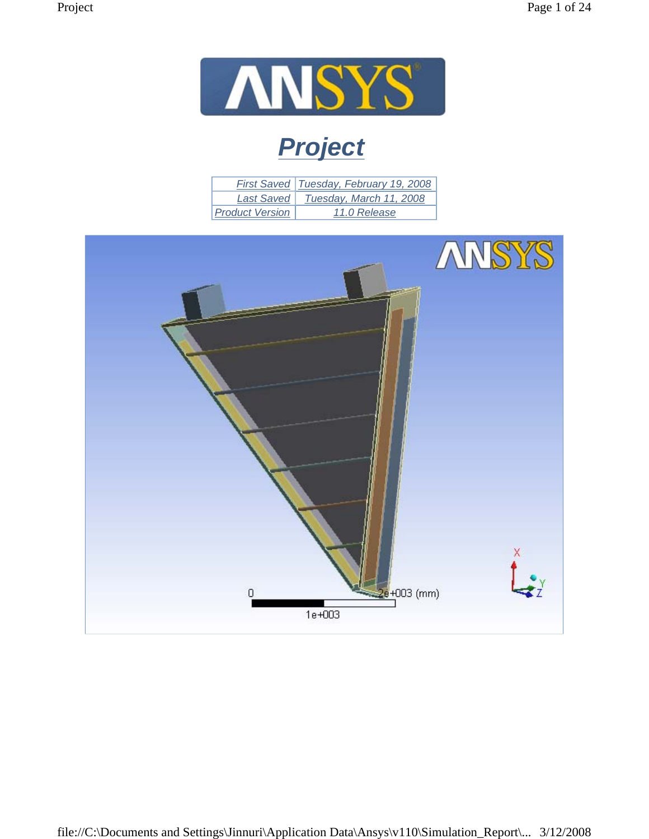

# *Project*

|                        | <b>First Saved Tuesday, February 19, 2008</b> |
|------------------------|-----------------------------------------------|
| Last Saved             | Tuesday, March 11, 2008                       |
| <b>Product Version</b> | 11.0 Release                                  |

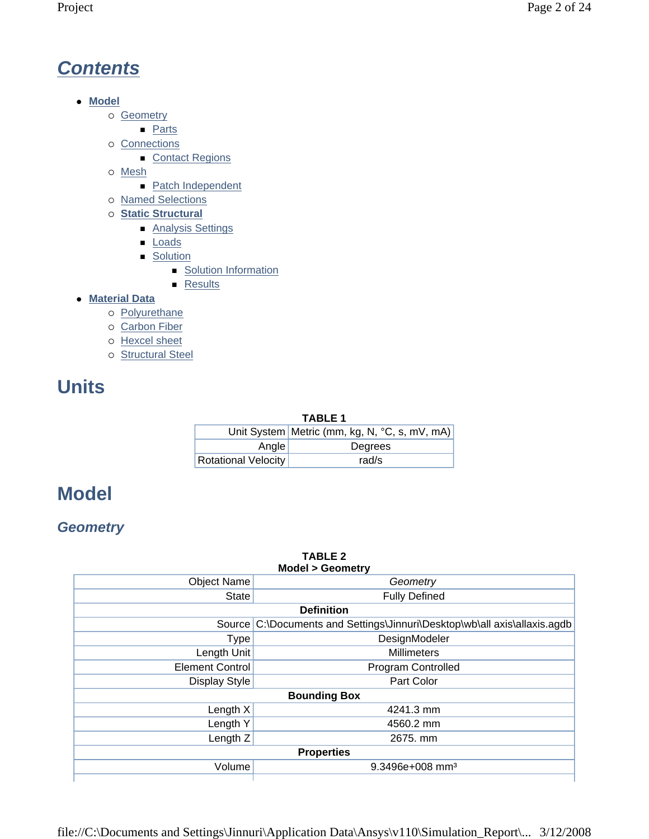# *Contents*

- $\bullet$  Model
	- o Geometry
		- **Parts**
	- $\circ$  Connections
		- Contact Regions
	- { Mesh
		- Patch Independent
	- { Named Selections
	- { **Static Structural**
		- Analysis Settings
		- **Loads**
		- **Solution** 
			- **Solution Information**
			- **Results**
- **Material Data** 
	- o Polyurethane
	- o Carbon Fiber
	- { Hexcel sheet
	- o Structural Steel

# **Units**

#### **TABLE 1**

|                     | Unit System   Metric (mm, kg, N, °C, s, mV, mA) |
|---------------------|-------------------------------------------------|
| Angle               | Degrees                                         |
| Rotational Velocity | rad/s                                           |

## **Model**

## *Geometry*

| <b>TABLE 2</b><br><b>Model &gt; Geometry</b> |                                                                    |  |  |  |
|----------------------------------------------|--------------------------------------------------------------------|--|--|--|
| <b>Object Name</b>                           | Geometry                                                           |  |  |  |
| <b>State</b>                                 | <b>Fully Defined</b>                                               |  |  |  |
|                                              | <b>Definition</b>                                                  |  |  |  |
| Source                                       | C:\Documents and Settings\Jinnuri\Desktop\wb\all axis\allaxis.agdb |  |  |  |
| <b>Type</b>                                  | DesignModeler                                                      |  |  |  |
| Length Unit                                  | <b>Millimeters</b>                                                 |  |  |  |
| <b>Element Control</b>                       | Program Controlled                                                 |  |  |  |
| Display Style                                | Part Color                                                         |  |  |  |
|                                              | <b>Bounding Box</b>                                                |  |  |  |
| Length X                                     | 4241.3 mm                                                          |  |  |  |
| Length Y                                     | 4560.2 mm                                                          |  |  |  |
| Length Z                                     | 2675. mm                                                           |  |  |  |
|                                              | <b>Properties</b>                                                  |  |  |  |
| Volume                                       | $9.3496e+008$ mm <sup>3</sup>                                      |  |  |  |
|                                              |                                                                    |  |  |  |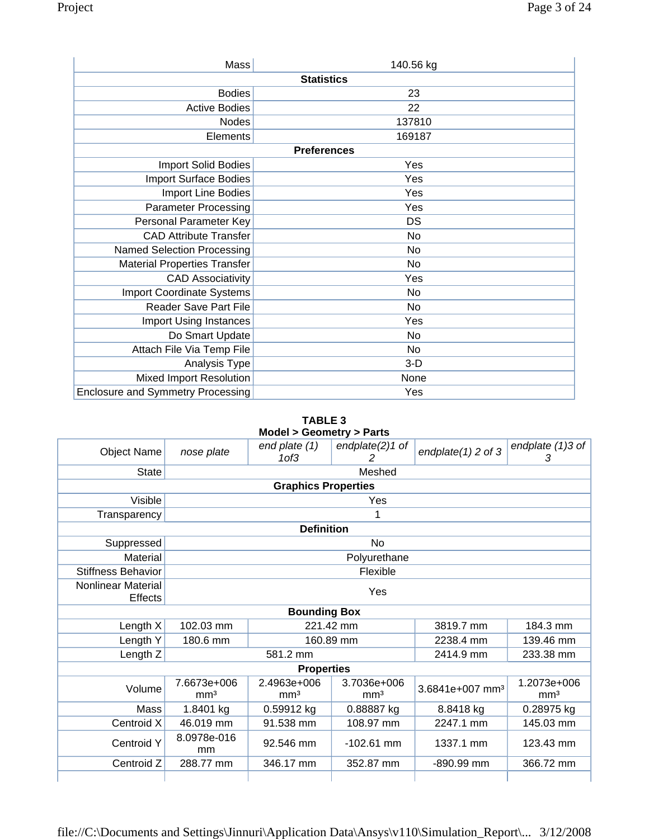| Mass                                     | 140.56 kg          |  |  |  |  |
|------------------------------------------|--------------------|--|--|--|--|
|                                          | <b>Statistics</b>  |  |  |  |  |
| <b>Bodies</b>                            | 23                 |  |  |  |  |
| <b>Active Bodies</b>                     | 22                 |  |  |  |  |
| Nodes                                    | 137810             |  |  |  |  |
| Elements                                 | 169187             |  |  |  |  |
|                                          | <b>Preferences</b> |  |  |  |  |
| <b>Import Solid Bodies</b>               | Yes                |  |  |  |  |
| <b>Import Surface Bodies</b>             | Yes                |  |  |  |  |
| Import Line Bodies                       | Yes                |  |  |  |  |
| <b>Parameter Processing</b>              | Yes                |  |  |  |  |
| Personal Parameter Key                   | DS                 |  |  |  |  |
| <b>CAD Attribute Transfer</b>            | No                 |  |  |  |  |
| <b>Named Selection Processing</b>        | No                 |  |  |  |  |
| <b>Material Properties Transfer</b>      | No                 |  |  |  |  |
| <b>CAD Associativity</b>                 | Yes                |  |  |  |  |
| <b>Import Coordinate Systems</b>         | No                 |  |  |  |  |
| <b>Reader Save Part File</b>             | No                 |  |  |  |  |
| Import Using Instances                   | Yes                |  |  |  |  |
| Do Smart Update                          | No                 |  |  |  |  |
| Attach File Via Temp File                | No                 |  |  |  |  |
| Analysis Type                            | $3-D$              |  |  |  |  |
| <b>Mixed Import Resolution</b>           | None               |  |  |  |  |
| <b>Enclosure and Symmetry Processing</b> | Yes                |  |  |  |  |

**TABLE 3 Model > Geometry > Parts** 

|                               | $m$ odel $\geq$ oeometry $\geq$ rando |                                   |                                |                       |                                |  |
|-------------------------------|---------------------------------------|-----------------------------------|--------------------------------|-----------------------|--------------------------------|--|
| <b>Object Name</b>            | nose plate                            | end plate (1)<br>1 <sub>of3</sub> | endplate $(2)1$ of             | endplate $(1)$ 2 of 3 | endplate $(1)3$ of<br>3        |  |
| <b>State</b>                  |                                       |                                   | Meshed                         |                       |                                |  |
|                               | <b>Graphics Properties</b>            |                                   |                                |                       |                                |  |
| Visible                       |                                       |                                   | Yes                            |                       |                                |  |
| Transparency                  |                                       |                                   |                                |                       |                                |  |
|                               |                                       | <b>Definition</b>                 |                                |                       |                                |  |
| Suppressed                    |                                       |                                   | No                             |                       |                                |  |
| Material                      |                                       |                                   | Polyurethane                   |                       |                                |  |
| <b>Stiffness Behavior</b>     |                                       |                                   | Flexible                       |                       |                                |  |
| Nonlinear Material<br>Effects |                                       |                                   | Yes                            |                       |                                |  |
|                               |                                       | <b>Bounding Box</b>               |                                |                       |                                |  |
| Length $X$                    | 102.03 mm                             |                                   | 221.42 mm                      | 3819.7 mm             | 184.3 mm                       |  |
| Length Y                      | 180.6 mm                              |                                   | 160.89 mm                      | 2238.4 mm             | 139.46 mm                      |  |
| Length Z                      |                                       | 581.2 mm                          |                                | 2414.9 mm             | 233.38 mm                      |  |
|                               |                                       | <b>Properties</b>                 |                                |                       |                                |  |
| Volume                        | 7.6673e+006<br>mm <sup>3</sup>        | 2.4963e+006<br>mm <sup>3</sup>    | 3.7036e+006<br>mm <sup>3</sup> |                       | 1.2073e+006<br>mm <sup>3</sup> |  |
| Mass                          | 1.8401 kg                             | 0.59912 kg                        | 0.88887 kg                     | 8.8418 kg             | 0.28975 kg                     |  |
| Centroid X                    | 46.019 mm                             | 91.538 mm                         | 108.97 mm                      | 2247.1 mm             | 145.03 mm                      |  |
| <b>Centroid Y</b>             | 8.0978e-016<br>mm                     | 92.546 mm                         | $-102.61$ mm                   | 1337.1 mm             | 123.43 mm                      |  |
| Centroid Z                    | 288.77 mm                             | 346.17 mm                         | 352.87 mm                      | -890.99 mm            | 366.72 mm                      |  |
|                               |                                       |                                   |                                |                       |                                |  |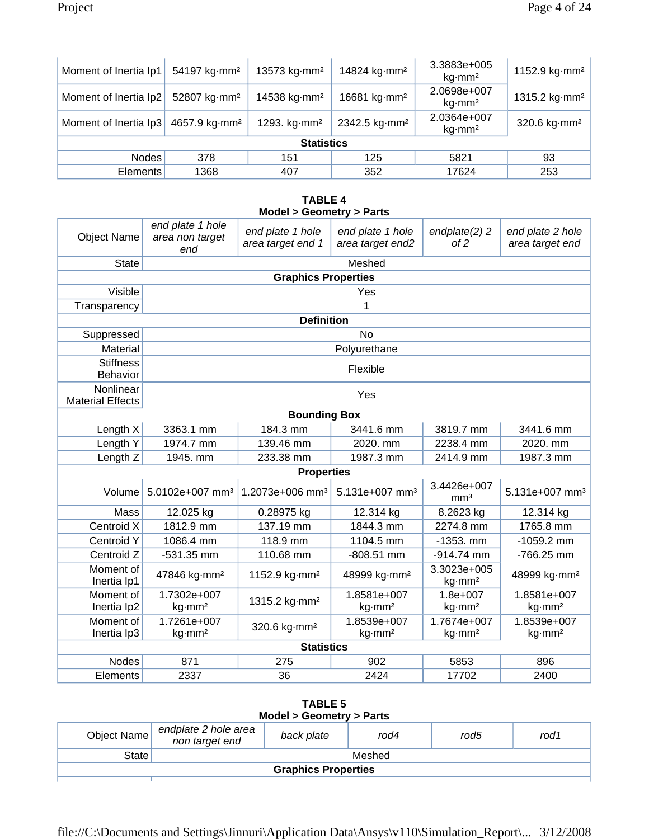| Moment of Inertia Ip1 | 54197 kg mm <sup>2</sup>  | 13573 kg·mm <sup>2</sup> | 14824 kg·mm <sup>2</sup>  | 3.3883e+005<br>$kg\cdot$ mm <sup>2</sup> | 1152.9 kg $\cdot$ mm <sup>2</sup> |
|-----------------------|---------------------------|--------------------------|---------------------------|------------------------------------------|-----------------------------------|
| Moment of Inertia Ip2 | 52807 kg·mm <sup>2</sup>  | 14538 kg·mm <sup>2</sup> | 16681 kg·mm <sup>2</sup>  | 2.0698e+007<br>$kg\cdot$ mm <sup>2</sup> | 1315.2 kg $\cdot$ mm <sup>2</sup> |
| Moment of Inertia Ip3 | 4657.9 kg mm <sup>2</sup> | 1293. kg mm <sup>2</sup> | 2342.5 kg mm <sup>2</sup> | 2.0364e+007<br>$kg\cdot$ mm <sup>2</sup> | 320.6 kg mm <sup>2</sup>          |
| <b>Statistics</b>     |                           |                          |                           |                                          |                                   |
| <b>Nodes</b>          | 378                       | 151                      | 125                       | 5821                                     | 93                                |
| <b>Elements</b>       | 1368                      | 407                      | 352                       | 17624                                    | 253                               |

#### **TABLE 4 Model > Geometry > Parts**

| <b>Object Name</b>                   | end plate 1 hole<br>area non target<br>end | end plate 1 hole<br>area target end 1 | end plate 1 hole<br>area target end2 | endplate(2) 2<br>of 2              | end plate 2 hole<br>area target end |
|--------------------------------------|--------------------------------------------|---------------------------------------|--------------------------------------|------------------------------------|-------------------------------------|
| <b>State</b>                         |                                            |                                       | Meshed                               |                                    |                                     |
|                                      |                                            | <b>Graphics Properties</b>            |                                      |                                    |                                     |
| Visible                              |                                            |                                       | Yes                                  |                                    |                                     |
| Transparency                         |                                            |                                       | 1                                    |                                    |                                     |
|                                      |                                            | <b>Definition</b>                     |                                      |                                    |                                     |
| Suppressed                           |                                            |                                       | <b>No</b>                            |                                    |                                     |
| Material                             |                                            |                                       | Polyurethane                         |                                    |                                     |
| <b>Stiffness</b><br>Behavior         |                                            |                                       | Flexible                             |                                    |                                     |
| Nonlinear<br><b>Material Effects</b> |                                            |                                       | Yes                                  |                                    |                                     |
|                                      |                                            | <b>Bounding Box</b>                   |                                      |                                    |                                     |
| Length X                             | 3363.1 mm                                  | 184.3 mm                              | 3441.6 mm                            | 3819.7 mm                          | 3441.6 mm                           |
| Length Y                             | 1974.7 mm                                  | 139.46 mm                             | 2020. mm                             | 2238.4 mm                          | 2020. mm                            |
| Length Z                             | 1945. mm                                   | 233.38 mm                             | 1987.3 mm                            | 2414.9 mm                          | 1987.3 mm                           |
|                                      |                                            | <b>Properties</b>                     |                                      |                                    |                                     |
| Volume                               | 5.0102e+007 mm <sup>3</sup>                | 1.2073e+006 mm <sup>3</sup>           | 5.131e+007 mm <sup>3</sup>           | 3.4426e+007<br>mm <sup>3</sup>     | 5.131e+007 mm <sup>3</sup>          |
| Mass                                 | 12.025 kg                                  | 0.28975 kg                            | 12.314 kg                            | 8.2623 kg                          | 12.314 kg                           |
| Centroid X                           | 1812.9 mm                                  | 137.19 mm                             | 1844.3 mm                            | 2274.8 mm                          | 1765.8 mm                           |
| Centroid Y                           | 1086.4 mm                                  | 118.9 mm                              | 1104.5 mm                            | $-1353.$ mm                        | $-1059.2$ mm                        |
| Centroid Z                           | $-531.35$ mm                               | 110.68 mm                             | $-808.51$ mm                         | $-914.74$ mm                       | -766.25 mm                          |
| Moment of<br>Inertia Ip1             | 47846 kg·mm <sup>2</sup>                   | 1152.9 kg mm <sup>2</sup>             | 48999 kg·mm <sup>2</sup>             | 3.3023e+005<br>kg·mm <sup>2</sup>  | 48999 kg·mm <sup>2</sup>            |
| Moment of<br>Inertia Ip2             | 1.7302e+007<br>kg·mm <sup>2</sup>          | 1315.2 kg·mm <sup>2</sup>             | 1.8581e+007<br>kg·mm <sup>2</sup>    | $1.8e + 007$<br>kg·mm <sup>2</sup> | 1.8581e+007<br>kg·mm <sup>2</sup>   |
| Moment of<br>Inertia Ip3             | 1.7261e+007<br>kg·mm <sup>2</sup>          | 320.6 kg·mm <sup>2</sup>              | 1.8539e+007<br>kg·mm <sup>2</sup>    | 1.7674e+007<br>kg·mm <sup>2</sup>  | 1.8539e+007<br>kg·mm <sup>2</sup>   |
|                                      |                                            | <b>Statistics</b>                     |                                      |                                    |                                     |
| <b>Nodes</b>                         | 871                                        | 275                                   | 902                                  | 5853                               | 896                                 |
| Elements                             | 2337                                       | 36                                    | 2424                                 | 17702                              | 2400                                |

| <b>TABLE 5</b><br>Model > Geometry > Parts |                                        |            |      |      |      |
|--------------------------------------------|----------------------------------------|------------|------|------|------|
| Object Name                                | endplate 2 hole area<br>non target end | back plate | rod4 | rod5 | rod1 |
| State                                      | Meshed                                 |            |      |      |      |
| <b>Graphics Properties</b>                 |                                        |            |      |      |      |
|                                            |                                        |            |      |      |      |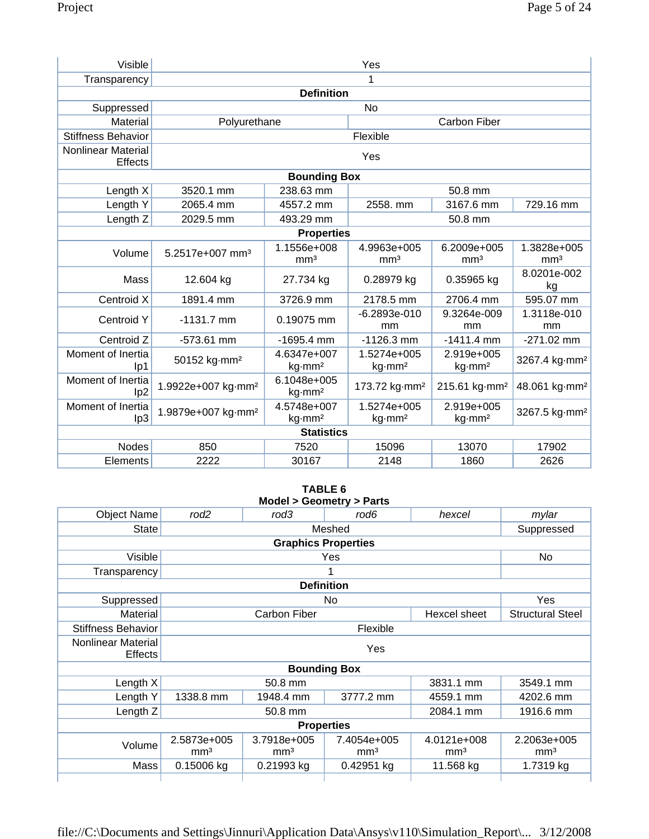| Visible                              | Yes                            |                                                                                                                                            |                                   |                                  |                                |  |
|--------------------------------------|--------------------------------|--------------------------------------------------------------------------------------------------------------------------------------------|-----------------------------------|----------------------------------|--------------------------------|--|
| Transparency                         |                                |                                                                                                                                            | 1                                 |                                  |                                |  |
|                                      | <b>Definition</b>              |                                                                                                                                            |                                   |                                  |                                |  |
| Suppressed                           |                                |                                                                                                                                            | <b>No</b>                         |                                  |                                |  |
| Material                             | Polyurethane                   |                                                                                                                                            |                                   | <b>Carbon Fiber</b>              |                                |  |
| <b>Stiffness Behavior</b>            |                                |                                                                                                                                            | Flexible                          |                                  |                                |  |
| <b>Nonlinear Material</b><br>Effects |                                |                                                                                                                                            | Yes                               |                                  |                                |  |
|                                      |                                | <b>Bounding Box</b>                                                                                                                        |                                   |                                  |                                |  |
| Length X                             | 3520.1 mm                      | 238.63 mm                                                                                                                                  |                                   | 50.8 mm                          |                                |  |
| Length Y                             | 2065.4 mm                      | 4557.2 mm                                                                                                                                  | 2558. mm                          | 3167.6 mm                        | 729.16 mm                      |  |
| Length <sub>Z</sub>                  | 2029.5 mm                      | 493.29 mm                                                                                                                                  |                                   | 50.8 mm                          |                                |  |
|                                      |                                | <b>Properties</b>                                                                                                                          |                                   |                                  |                                |  |
| Volume                               | 5.2517e+007 mm <sup>3</sup>    | 1.1556e+008<br>mm <sup>3</sup>                                                                                                             | 4.9963e+005<br>mm <sup>3</sup>    | 6.2009e+005<br>mm <sup>3</sup>   | 1.3828e+005<br>mm <sup>3</sup> |  |
| Mass                                 | 12.604 kg                      | 27.734 kg                                                                                                                                  | 0.28979 kg                        | 0.35965 kg                       | 8.0201e-002<br>kg              |  |
| Centroid X                           | 1891.4 mm                      | 3726.9 mm                                                                                                                                  | 2178.5 mm                         | 2706.4 mm                        | 595.07 mm                      |  |
| <b>Centroid Y</b>                    | $-1131.7$ mm                   | 0.19075 mm                                                                                                                                 | $-6.2893e-010$<br>mm              | 9.3264e-009<br>mm                | 1.3118e-010<br>mm              |  |
| Centroid Z                           | $-573.61$ mm                   | $-1695.4$ mm                                                                                                                               | $-1126.3$ mm                      | $-1411.4$ mm                     | $-271.02$ mm                   |  |
| Moment of Inertia<br>lp1             | 50152 kg·mm <sup>2</sup>       | 4.6347e+007<br>1.5274e+005<br>2.919e+005<br>3267.4 kg·mm <sup>2</sup><br>kg·mm <sup>2</sup><br>$kg\cdot mm^2$<br>$kg\cdot$ mm <sup>2</sup> |                                   |                                  |                                |  |
| Moment of Inertia<br>lp <sub>2</sub> | 1.9922e+007 kg·mm <sup>2</sup> | 6.1048e+005<br>kg·mm <sup>2</sup>                                                                                                          | 173.72 kg·mm <sup>2</sup>         | 215.61 kg·mm <sup>2</sup>        | 48.061 kg·mm <sup>2</sup>      |  |
| Moment of Inertia<br>lp3             | 1.9879e+007 kg·mm <sup>2</sup> | 4.5748e+007<br>kg·mm <sup>2</sup>                                                                                                          | 1.5274e+005<br>kg·mm <sup>2</sup> | 2.919e+005<br>kg·mm <sup>2</sup> | 3267.5 kg·mm <sup>2</sup>      |  |
|                                      |                                | <b>Statistics</b>                                                                                                                          |                                   |                                  |                                |  |
| <b>Nodes</b>                         | 850                            | 7520                                                                                                                                       | 15096                             | 13070                            | 17902                          |  |
| Elements                             | 2222                           | 30167                                                                                                                                      | 2148                              | 1860                             | 2626                           |  |

#### **TABLE 6 Model > Geometry > Parts**

| <b>Object Name</b>                   | rod <sub>2</sub>               | rod3                           | rod6                           | hexcel                         | mylar                          |  |
|--------------------------------------|--------------------------------|--------------------------------|--------------------------------|--------------------------------|--------------------------------|--|
| <b>State</b>                         |                                |                                | Meshed                         |                                | Suppressed                     |  |
| <b>Graphics Properties</b>           |                                |                                |                                |                                |                                |  |
| Visible                              |                                |                                | Yes                            |                                | No                             |  |
| Transparency                         |                                |                                |                                |                                |                                |  |
|                                      |                                | <b>Definition</b>              |                                |                                |                                |  |
| Suppressed                           |                                |                                | No.                            |                                | Yes                            |  |
| Material                             |                                | <b>Carbon Fiber</b>            |                                | Hexcel sheet                   | <b>Structural Steel</b>        |  |
| <b>Stiffness Behavior</b>            |                                | Flexible                       |                                |                                |                                |  |
| Nonlinear Material<br><b>Effects</b> |                                | Yes                            |                                |                                |                                |  |
|                                      |                                |                                | <b>Bounding Box</b>            |                                |                                |  |
| Length $X$                           |                                | 50.8 mm                        |                                | 3831.1 mm                      | 3549.1 mm                      |  |
| Length Y                             | 1338.8 mm                      | 1948.4 mm                      | 3777.2 mm                      | 4559.1 mm                      | 4202.6 mm                      |  |
| Length Z                             |                                | 2084.1 mm<br>50.8 mm           |                                |                                |                                |  |
| <b>Properties</b>                    |                                |                                |                                |                                |                                |  |
| Volume                               | 2.5873e+005<br>mm <sup>3</sup> | 3.7918e+005<br>mm <sup>3</sup> | 7.4054e+005<br>mm <sup>3</sup> | 4.0121e+008<br>mm <sup>3</sup> | 2.2063e+005<br>mm <sup>3</sup> |  |
| Mass                                 | 0.15006 kg                     | 0.21993 kg                     | 0.42951 kg                     | 11.568 kg                      | 1.7319 kg                      |  |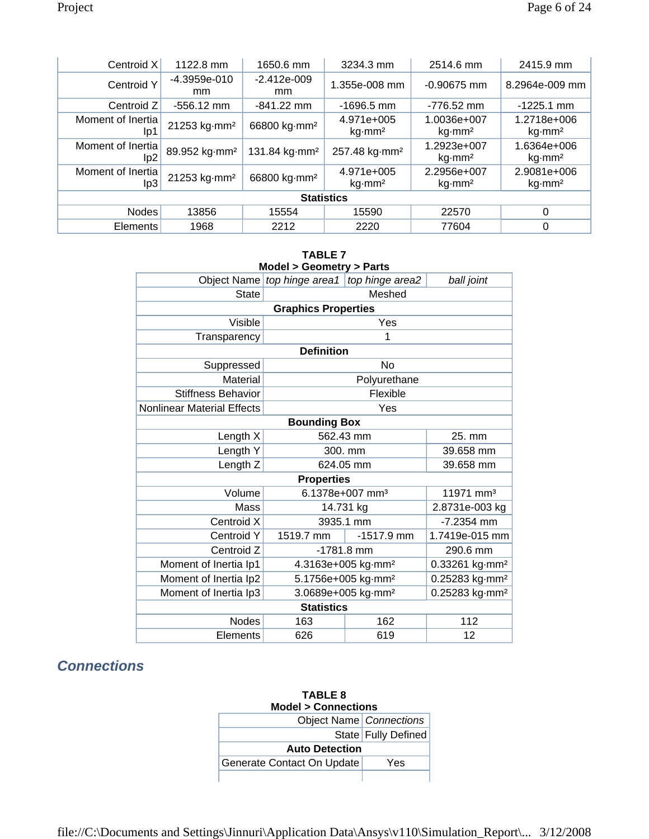| Centroid X                           | 1122.8 mm                 | 1650.6 mm                 | 3234.3 mm                               | 2514.6 mm                                | 2415.9 mm                                |  |
|--------------------------------------|---------------------------|---------------------------|-----------------------------------------|------------------------------------------|------------------------------------------|--|
| Centroid Y                           | $-4.3959e-010$<br>mm      | $-2.412e-009$<br>mm.      | 1.355e-008 mm                           | $-0.90675$ mm                            | 8.2964e-009 mm                           |  |
| Centroid Z                           | $-556.12$ mm              | $-841.22$ mm              | $-1696.5$ mm                            | $-776.52$ mm                             | $-1225.1$ mm                             |  |
| Moment of Inertia<br>lp1             | 21253 kg·mm <sup>2</sup>  | 66800 kg·mm <sup>2</sup>  | 4.971e+005<br>$kg\cdot$ mm <sup>2</sup> | 1.0036e+007<br>kq·mm <sup>2</sup>        | 1.2718e+006<br>kq·mm <sup>2</sup>        |  |
| Moment of Inertia<br>lp <sub>2</sub> | 89.952 kg·mm <sup>2</sup> | 131.84 kg mm <sup>2</sup> | 257.48 kg·mm <sup>2</sup>               | 1.2923e+007<br>$kg\cdot$ mm <sup>2</sup> | 1.6364e+006<br>$kg\cdot$ mm <sup>2</sup> |  |
| Moment of Inertia<br>lp3             | 21253 kg·mm <sup>2</sup>  | 66800 kg·mm <sup>2</sup>  | 4.971e+005<br>$kg\cdot$ mm <sup>2</sup> | 2.2956e+007<br>kq·mm <sup>2</sup>        | 2.9081e+006<br>$kg\cdot$ mm <sup>2</sup> |  |
| <b>Statistics</b>                    |                           |                           |                                         |                                          |                                          |  |
| <b>Nodes</b>                         | 13856                     | 15554                     | 15590                                   | 22570                                    | 0                                        |  |
| <b>Elements</b>                      | 1968                      | 2212                      | 2220                                    | 77604                                    | 0                                        |  |

| <b>TABLE 7</b><br><b>Model &gt; Geometry &gt; Parts</b> |                                                              |                                                              |                       |  |  |  |
|---------------------------------------------------------|--------------------------------------------------------------|--------------------------------------------------------------|-----------------------|--|--|--|
|                                                         | Object Name top hinge area1                                  | top hinge area2<br>ball joint                                |                       |  |  |  |
| <b>State</b>                                            |                                                              | Meshed                                                       |                       |  |  |  |
|                                                         | <b>Graphics Properties</b>                                   |                                                              |                       |  |  |  |
| Visible                                                 |                                                              | Yes                                                          |                       |  |  |  |
| Transparency                                            |                                                              | 1                                                            |                       |  |  |  |
|                                                         | <b>Definition</b>                                            |                                                              |                       |  |  |  |
| Suppressed                                              |                                                              | <b>No</b>                                                    |                       |  |  |  |
| Material                                                |                                                              | Polyurethane                                                 |                       |  |  |  |
| <b>Stiffness Behavior</b>                               |                                                              | Flexible                                                     |                       |  |  |  |
| Nonlinear Material Effects                              | Yes                                                          |                                                              |                       |  |  |  |
|                                                         | <b>Bounding Box</b>                                          |                                                              |                       |  |  |  |
| Length X                                                |                                                              | 562.43 mm                                                    | 25. mm                |  |  |  |
| Length Y                                                | 300. mm                                                      |                                                              | 39.658 mm             |  |  |  |
| Length Z                                                |                                                              | 624.05 mm                                                    | 39.658 mm             |  |  |  |
|                                                         | <b>Properties</b>                                            |                                                              |                       |  |  |  |
| Volume                                                  |                                                              | 6.1378e+007 mm <sup>3</sup>                                  | 11971 mm <sup>3</sup> |  |  |  |
| Mass                                                    |                                                              | 14.731 kg                                                    | 2.8731e-003 kg        |  |  |  |
| Centroid X                                              |                                                              | 3935.1 mm                                                    | $-7.2354$ mm          |  |  |  |
| Centroid Y                                              | 1519.7 mm                                                    | $-1517.9$ mm                                                 | 1.7419e-015 mm        |  |  |  |
| Centroid Z                                              |                                                              | $-1781.8$ mm                                                 | 290.6 mm              |  |  |  |
| Moment of Inertia Ip1                                   | 4.3163e+005 kg·mm <sup>2</sup><br>0.33261 kg·mm <sup>2</sup> |                                                              |                       |  |  |  |
| Moment of Inertia Ip2                                   |                                                              | 5.1756e+005 kg·mm <sup>2</sup><br>0.25283 kg·mm <sup>2</sup> |                       |  |  |  |
| Moment of Inertia Ip3                                   | 3.0689e+005 kg·mm <sup>2</sup><br>0.25283 kg·mm <sup>2</sup> |                                                              |                       |  |  |  |
|                                                         | <b>Statistics</b>                                            |                                                              |                       |  |  |  |
| <b>Nodes</b>                                            | 163                                                          | 162                                                          | 112                   |  |  |  |
| Elements                                                | 626                                                          | 619                                                          | 12                    |  |  |  |

## *Connections*

| <b>TABLE 8</b><br><b>Model &gt; Connections</b> |                       |  |  |
|-------------------------------------------------|-----------------------|--|--|
| Object Name Connections                         |                       |  |  |
|                                                 | State   Fully Defined |  |  |
| <b>Auto Detection</b>                           |                       |  |  |
| Generate Contact On Update                      | Yes                   |  |  |
|                                                 |                       |  |  |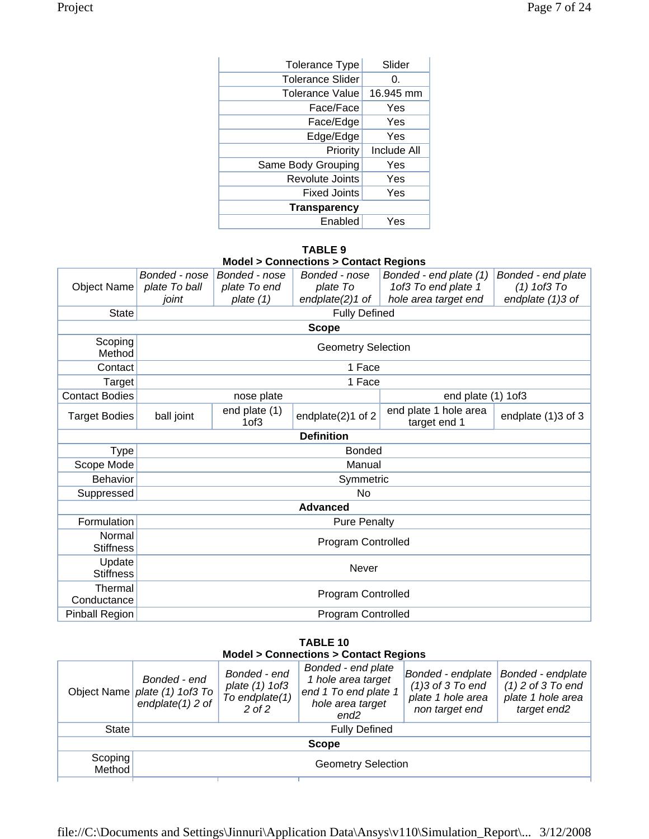| <b>Tolerance Type</b>   | Slider             |
|-------------------------|--------------------|
| <b>Tolerance Slider</b> | 0.                 |
| <b>Tolerance Value</b>  | 16.945 mm          |
| Face/Face               | Yes                |
| Face/Edge               | Yes                |
| Edge/Edge               | Yes                |
| Priority                | <b>Include All</b> |
| Same Body Grouping      | Yes                |
| Revolute Joints         | Yes                |
| <b>Fixed Joints</b>     | Yes                |
| <b>Transparency</b>     |                    |
| Enabled                 | Yes                |

#### **TABLE 9**

|  | <b>Model &gt; Connections &gt; Contact Regions</b> |  |  |
|--|----------------------------------------------------|--|--|
|--|----------------------------------------------------|--|--|

|                            | Bonded - nose      | Bonded - nose                      | Bonded - nose             | Bonded - end plate (1)                | Bonded - end plate |
|----------------------------|--------------------|------------------------------------|---------------------------|---------------------------------------|--------------------|
| <b>Object Name</b>         | plate To ball      | plate To end                       | plate To                  | 1of3 To end plate 1                   | $(1)$ 1 of $3$ To  |
|                            | joint              | plate $(1)$                        | endplate $(2)1$ of        | hole area target end                  | endplate (1)3 of   |
| <b>State</b>               |                    |                                    | <b>Fully Defined</b>      |                                       |                    |
|                            |                    |                                    | <b>Scope</b>              |                                       |                    |
| Scoping<br>Method          |                    |                                    | <b>Geometry Selection</b> |                                       |                    |
| Contact                    |                    |                                    | 1 Face                    |                                       |                    |
| Target                     |                    |                                    | 1 Face                    |                                       |                    |
| <b>Contact Bodies</b>      |                    | nose plate                         |                           | end plate (1) 1of3                    |                    |
| <b>Target Bodies</b>       | ball joint         | end plate (1)<br>1 <sub>of</sub> 3 | endplate(2)1 of 2         | end plate 1 hole area<br>target end 1 | endplate (1)3 of 3 |
|                            |                    |                                    | <b>Definition</b>         |                                       |                    |
| <b>Type</b>                |                    |                                    | <b>Bonded</b>             |                                       |                    |
| Scope Mode                 |                    |                                    | Manual                    |                                       |                    |
| <b>Behavior</b>            |                    |                                    | Symmetric                 |                                       |                    |
| Suppressed                 |                    |                                    | <b>No</b>                 |                                       |                    |
|                            |                    |                                    | <b>Advanced</b>           |                                       |                    |
| Formulation                |                    |                                    | <b>Pure Penalty</b>       |                                       |                    |
| Normal<br><b>Stiffness</b> | Program Controlled |                                    |                           |                                       |                    |
| Update<br><b>Stiffness</b> |                    |                                    | Never                     |                                       |                    |
| Thermal<br>Conductance     |                    | Program Controlled                 |                           |                                       |                    |
| Pinball Region             | Program Controlled |                                    |                           |                                       |                    |

#### **TABLE 10 Model > Connections > Contact Regions**

|                   | Bonded - end<br>Object Name <i>plate (1)</i> 1of3 To<br>endplate $(1)$ 2 of | Bonded - end<br>plate (1) 1of3<br>To endplate(1)<br>$2$ of $2$ | Bonded - end plate<br>1 hole area target<br>end 1 To end plate 1<br>hole area target<br>end <sub>2</sub> | Bonded - endplate<br>$(1)3$ of 3 To end<br>plate 1 hole area<br>non target end | Bonded - endplate<br>$(1)$ 2 of 3 To end<br>plate 1 hole area<br>target end2 |
|-------------------|-----------------------------------------------------------------------------|----------------------------------------------------------------|----------------------------------------------------------------------------------------------------------|--------------------------------------------------------------------------------|------------------------------------------------------------------------------|
| State             | <b>Fully Defined</b>                                                        |                                                                |                                                                                                          |                                                                                |                                                                              |
|                   | <b>Scope</b>                                                                |                                                                |                                                                                                          |                                                                                |                                                                              |
| Scoping<br>Method | <b>Geometry Selection</b>                                                   |                                                                |                                                                                                          |                                                                                |                                                                              |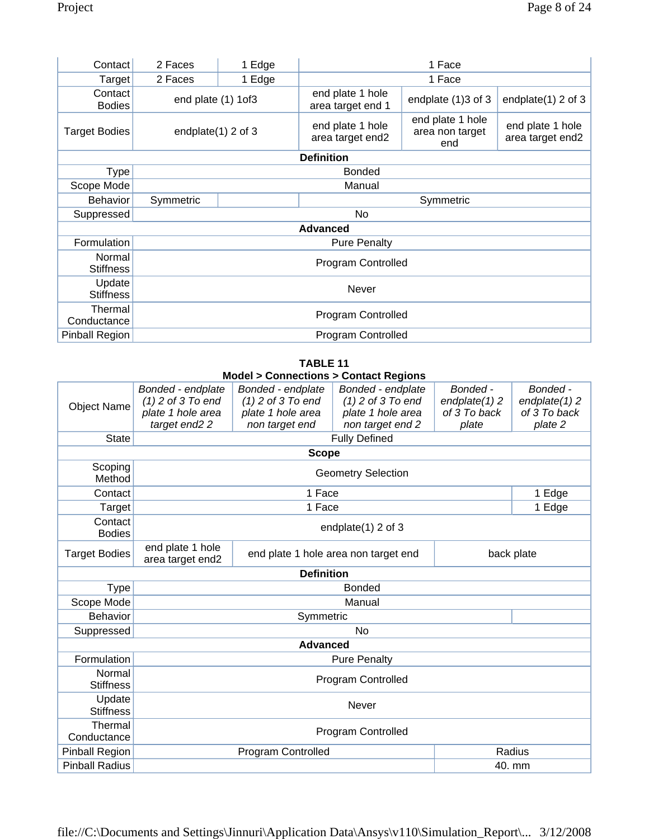| Contact                    | 2 Faces               | 1 Edge             | 1 Face                                |                                            |                                      |  |
|----------------------------|-----------------------|--------------------|---------------------------------------|--------------------------------------------|--------------------------------------|--|
| Target                     | 2 Faces               | 1 Edge             |                                       | 1 Face                                     |                                      |  |
| Contact<br><b>Bodies</b>   | end plate (1) 1of3    |                    | end plate 1 hole<br>area target end 1 | endplate (1)3 of 3                         | endplate $(1)$ 2 of 3                |  |
| <b>Target Bodies</b>       | endplate $(1)$ 2 of 3 |                    | end plate 1 hole<br>area target end2  | end plate 1 hole<br>area non target<br>end | end plate 1 hole<br>area target end2 |  |
|                            |                       |                    | <b>Definition</b>                     |                                            |                                      |  |
| <b>Type</b>                |                       |                    | <b>Bonded</b>                         |                                            |                                      |  |
| Scope Mode                 |                       |                    | Manual                                |                                            |                                      |  |
| <b>Behavior</b>            | Symmetric             |                    |                                       | Symmetric                                  |                                      |  |
| Suppressed                 |                       |                    | <b>No</b>                             |                                            |                                      |  |
|                            |                       |                    | <b>Advanced</b>                       |                                            |                                      |  |
| Formulation                |                       |                    | <b>Pure Penalty</b>                   |                                            |                                      |  |
| Normal<br><b>Stiffness</b> |                       | Program Controlled |                                       |                                            |                                      |  |
| Update<br><b>Stiffness</b> | <b>Never</b>          |                    |                                       |                                            |                                      |  |
| Thermal<br>Conductance     | Program Controlled    |                    |                                       |                                            |                                      |  |
| Pinball Region             | Program Controlled    |                    |                                       |                                            |                                      |  |

#### **TABLE 11 Model > Connections > Contact Regions**

| <b>Object Name</b>                             | Bonded - endplate<br>$(1)$ 2 of 3 To end<br>plate 1 hole area<br>target end <sub>2</sub> 2 | Bonded - endplate<br>$(1)$ 2 of 3 To end<br>plate 1 hole area<br>non target end | Bonded - endplate<br>$(1)$ 2 of 3 To end<br>plate 1 hole area<br>non target end 2 | Bonded -<br>endplate $(1)$ 2<br>of 3 To back<br>plate | Bonded -<br>endplate $(1)$ 2<br>of 3 To back<br>plate 2 |  |
|------------------------------------------------|--------------------------------------------------------------------------------------------|---------------------------------------------------------------------------------|-----------------------------------------------------------------------------------|-------------------------------------------------------|---------------------------------------------------------|--|
| <b>State</b>                                   |                                                                                            |                                                                                 | <b>Fully Defined</b>                                                              |                                                       |                                                         |  |
|                                                | <b>Scope</b>                                                                               |                                                                                 |                                                                                   |                                                       |                                                         |  |
| Scoping<br><b>Geometry Selection</b><br>Method |                                                                                            |                                                                                 |                                                                                   |                                                       |                                                         |  |
| Contact                                        |                                                                                            | 1 Face                                                                          |                                                                                   |                                                       | 1 Edge                                                  |  |
| Target                                         |                                                                                            | 1 Face                                                                          |                                                                                   |                                                       | 1 Edge                                                  |  |
| Contact<br><b>Bodies</b>                       | endplate $(1)$ 2 of 3                                                                      |                                                                                 |                                                                                   |                                                       |                                                         |  |
| <b>Target Bodies</b>                           | end plate 1 hole<br>area target end2                                                       | end plate 1 hole area non target end                                            |                                                                                   |                                                       | back plate                                              |  |
|                                                |                                                                                            | <b>Definition</b>                                                               |                                                                                   |                                                       |                                                         |  |
| <b>Type</b>                                    |                                                                                            |                                                                                 | <b>Bonded</b>                                                                     |                                                       |                                                         |  |
| Scope Mode                                     |                                                                                            |                                                                                 | Manual                                                                            |                                                       |                                                         |  |
| <b>Behavior</b>                                |                                                                                            | Symmetric                                                                       |                                                                                   |                                                       |                                                         |  |
| Suppressed                                     |                                                                                            |                                                                                 | <b>No</b>                                                                         |                                                       |                                                         |  |
|                                                |                                                                                            | <b>Advanced</b>                                                                 |                                                                                   |                                                       |                                                         |  |
| Formulation                                    |                                                                                            |                                                                                 | <b>Pure Penalty</b>                                                               |                                                       |                                                         |  |
| Normal<br><b>Stiffness</b>                     | Program Controlled                                                                         |                                                                                 |                                                                                   |                                                       |                                                         |  |
| Update<br><b>Stiffness</b>                     | <b>Never</b>                                                                               |                                                                                 |                                                                                   |                                                       |                                                         |  |
| Thermal<br>Conductance                         | Program Controlled                                                                         |                                                                                 |                                                                                   |                                                       |                                                         |  |
| <b>Pinball Region</b>                          |                                                                                            | <b>Program Controlled</b>                                                       |                                                                                   |                                                       | Radius                                                  |  |
| <b>Pinball Radius</b>                          | 40. mm                                                                                     |                                                                                 |                                                                                   |                                                       |                                                         |  |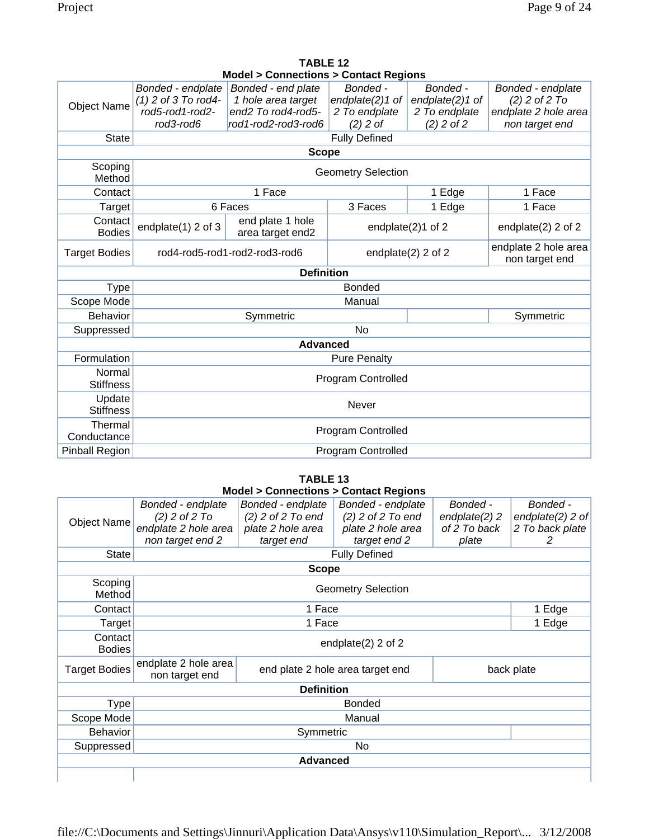|                            |                                          | Model > Connections > Contact Regions    |                             |                               |                                         |  |  |
|----------------------------|------------------------------------------|------------------------------------------|-----------------------------|-------------------------------|-----------------------------------------|--|--|
|                            | Bonded - endplate                        | Bonded - end plate                       | Bonded -                    | Bonded -                      | Bonded - endplate                       |  |  |
| <b>Object Name</b>         | $(1)$ 2 of 3 To rod4-<br>rod5-rod1-rod2- | 1 hole area target<br>end2 To rod4-rod5- | endplate(2)1 of             | endplate(2)1 of               | $(2)$ 2 of 2 To<br>endplate 2 hole area |  |  |
|                            | rod3-rod6                                | rod1-rod2-rod3-rod6                      | 2 To endplate<br>$(2)$ 2 of | 2 To endplate<br>$(2)$ 2 of 2 | non target end                          |  |  |
|                            |                                          |                                          |                             |                               |                                         |  |  |
| <b>State</b>               |                                          |                                          | <b>Fully Defined</b>        |                               |                                         |  |  |
|                            |                                          | <b>Scope</b>                             |                             |                               |                                         |  |  |
| Scoping<br>Method          |                                          |                                          | <b>Geometry Selection</b>   |                               |                                         |  |  |
| Contact                    |                                          | 1 Face                                   |                             | 1 Edge                        | 1 Face                                  |  |  |
| Target                     |                                          | 6 Faces                                  | 3 Faces                     | 1 Edge                        | 1 Face                                  |  |  |
| Contact<br><b>Bodies</b>   | endplate(1) 2 of 3                       | end plate 1 hole<br>area target end2     |                             | endplate(2)1 of 2             | endplate $(2)$ 2 of 2                   |  |  |
| <b>Target Bodies</b>       | rod4-rod5-rod1-rod2-rod3-rod6            |                                          | endplate(2) 2 of 2          |                               | endplate 2 hole area<br>non target end  |  |  |
|                            |                                          | <b>Definition</b>                        |                             |                               |                                         |  |  |
| <b>Type</b>                |                                          |                                          | <b>Bonded</b>               |                               |                                         |  |  |
| Scope Mode                 |                                          |                                          | Manual                      |                               |                                         |  |  |
| <b>Behavior</b>            |                                          | Symmetric                                |                             |                               | Symmetric                               |  |  |
| Suppressed                 |                                          |                                          | <b>No</b>                   |                               |                                         |  |  |
|                            |                                          | <b>Advanced</b>                          |                             |                               |                                         |  |  |
| Formulation                |                                          |                                          | <b>Pure Penalty</b>         |                               |                                         |  |  |
| Normal<br><b>Stiffness</b> | Program Controlled                       |                                          |                             |                               |                                         |  |  |
| Update<br><b>Stiffness</b> | Never                                    |                                          |                             |                               |                                         |  |  |
| Thermal<br>Conductance     | <b>Program Controlled</b>                |                                          |                             |                               |                                         |  |  |
| <b>Pinball Region</b>      |                                          | <b>Program Controlled</b>                |                             |                               |                                         |  |  |

| TABLE 12                                           |  |
|----------------------------------------------------|--|
| <b>Model &gt; Connections &gt; Contact Regions</b> |  |

|                          |                                                                                          | <b>TABLE 13</b>                                                             |                                                                               |                                                       |                                                         |
|--------------------------|------------------------------------------------------------------------------------------|-----------------------------------------------------------------------------|-------------------------------------------------------------------------------|-------------------------------------------------------|---------------------------------------------------------|
|                          |                                                                                          | <b>Model &gt; Connections &gt; Contact Regions</b>                          |                                                                               |                                                       |                                                         |
| <b>Object Name</b>       | Bonded - endplate<br>$(2)$ 2 of 2 To<br>endplate 2 hole area<br>non target end 2         | Bonded - endplate<br>$(2)$ 2 of 2 To end<br>plate 2 hole area<br>target end | Bonded - endplate<br>$(2)$ 2 of 2 To end<br>plate 2 hole area<br>target end 2 | Bonded -<br>endplate $(2)$ 2<br>of 2 To back<br>plate | Bonded -<br>endplate $(2)$ 2 of<br>2 To back plate<br>2 |
| <b>State</b>             |                                                                                          |                                                                             | <b>Fully Defined</b>                                                          |                                                       |                                                         |
|                          |                                                                                          | <b>Scope</b>                                                                |                                                                               |                                                       |                                                         |
| Scoping<br>Method        |                                                                                          |                                                                             | <b>Geometry Selection</b>                                                     |                                                       |                                                         |
| Contact                  |                                                                                          | 1 Face                                                                      |                                                                               |                                                       | 1 Edge                                                  |
| Target                   |                                                                                          | 1 Face                                                                      |                                                                               |                                                       |                                                         |
| Contact<br><b>Bodies</b> |                                                                                          |                                                                             | endplate $(2)$ 2 of 2                                                         |                                                       |                                                         |
| <b>Target Bodies</b>     | endplate 2 hole area<br>end plate 2 hole area target end<br>back plate<br>non target end |                                                                             |                                                                               |                                                       |                                                         |
|                          |                                                                                          | <b>Definition</b>                                                           |                                                                               |                                                       |                                                         |
| Type                     |                                                                                          |                                                                             | <b>Bonded</b>                                                                 |                                                       |                                                         |
| Scope Mode               |                                                                                          |                                                                             | Manual                                                                        |                                                       |                                                         |
| Behavior                 | Symmetric                                                                                |                                                                             |                                                                               |                                                       |                                                         |
| Suppressed               |                                                                                          |                                                                             | No                                                                            |                                                       |                                                         |
|                          |                                                                                          | <b>Advanced</b>                                                             |                                                                               |                                                       |                                                         |
|                          |                                                                                          |                                                                             |                                                                               |                                                       |                                                         |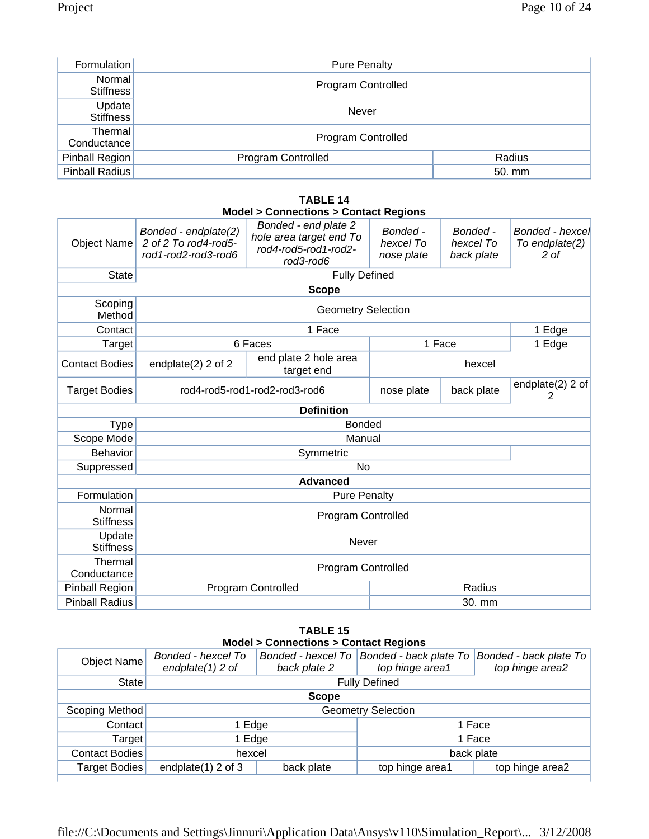| Formulation            | <b>Pure Penalty</b>       |        |
|------------------------|---------------------------|--------|
| Normal<br>Stiffness    | Program Controlled        |        |
| Update<br>Stiffness    | <b>Never</b>              |        |
| Thermal<br>Conductance | Program Controlled        |        |
| Pinball Region         | <b>Program Controlled</b> | Radius |
| Pinball Radius         |                           | 50. mm |

|                            |                                                                     | <b>Model &gt; Connections &gt; Contact Regions</b>                                   |                                     |                                     |                                                      |
|----------------------------|---------------------------------------------------------------------|--------------------------------------------------------------------------------------|-------------------------------------|-------------------------------------|------------------------------------------------------|
| <b>Object Name</b>         | Bonded - endplate(2)<br>2 of 2 To rod4-rod5-<br>rod1-rod2-rod3-rod6 | Bonded - end plate 2<br>hole area target end To<br>rod4-rod5-rod1-rod2-<br>rod3-rod6 | Bonded -<br>hexcel To<br>nose plate | Bonded -<br>hexcel To<br>back plate | Bonded - hexcel<br>To endplate(2)<br>2 <sub>of</sub> |
| <b>State</b>               |                                                                     | <b>Fully Defined</b>                                                                 |                                     |                                     |                                                      |
|                            |                                                                     | <b>Scope</b>                                                                         |                                     |                                     |                                                      |
| Scoping<br>Method          |                                                                     | <b>Geometry Selection</b>                                                            |                                     |                                     |                                                      |
| Contact                    |                                                                     | 1 Face                                                                               |                                     |                                     | 1 Edge                                               |
| Target                     |                                                                     | 6 Faces                                                                              |                                     | 1 Face                              | 1 Edge                                               |
| <b>Contact Bodies</b>      | endplate $(2)$ 2 of 2                                               | end plate 2 hole area<br>target end                                                  | hexcel                              |                                     |                                                      |
| <b>Target Bodies</b>       | rod4-rod5-rod1-rod2-rod3-rod6                                       |                                                                                      | nose plate                          | back plate                          | endplate(2) 2 of<br>2                                |
|                            |                                                                     | <b>Definition</b>                                                                    |                                     |                                     |                                                      |
| <b>Type</b>                |                                                                     | <b>Bonded</b>                                                                        |                                     |                                     |                                                      |
| Scope Mode                 |                                                                     | Manual                                                                               |                                     |                                     |                                                      |
| <b>Behavior</b>            |                                                                     | Symmetric                                                                            |                                     |                                     |                                                      |
| Suppressed                 |                                                                     | <b>No</b>                                                                            |                                     |                                     |                                                      |
|                            |                                                                     | <b>Advanced</b>                                                                      |                                     |                                     |                                                      |
| Formulation                |                                                                     | <b>Pure Penalty</b>                                                                  |                                     |                                     |                                                      |
| Normal<br><b>Stiffness</b> | <b>Program Controlled</b>                                           |                                                                                      |                                     |                                     |                                                      |
| Update<br><b>Stiffness</b> | Never                                                               |                                                                                      |                                     |                                     |                                                      |
| Thermal<br>Conductance     | <b>Program Controlled</b>                                           |                                                                                      |                                     |                                     |                                                      |
| Pinball Region             |                                                                     | <b>Program Controlled</b>                                                            |                                     | Radius                              |                                                      |
| <b>Pinball Radius</b>      | 30. mm                                                              |                                                                                      |                                     |                                     |                                                      |

# **TABLE 14**

### **TABLE 15 Model > Connections > Contact Regions**

| <b>Object Name</b>    | Bonded - hexcel To<br>endplate $(1)$ 2 of | Bonded - hexcel To<br>back plate 2 | Bonded - back plate To<br>top hinge area1 | Bonded - back plate To<br>top hinge area2 |
|-----------------------|-------------------------------------------|------------------------------------|-------------------------------------------|-------------------------------------------|
| State                 | <b>Fully Defined</b>                      |                                    |                                           |                                           |
| <b>Scope</b>          |                                           |                                    |                                           |                                           |
| Scoping Method        | <b>Geometry Selection</b>                 |                                    |                                           |                                           |
| Contact               | 1 Edge                                    |                                    | 1 Face                                    |                                           |
| Target                | 1 Edge                                    |                                    | 1 Face                                    |                                           |
| <b>Contact Bodies</b> | hexcel                                    |                                    |                                           | back plate                                |
| <b>Target Bodies</b>  | endplate $(1)$ 2 of 3                     | back plate                         | top hinge area1                           | top hinge area2                           |
|                       |                                           |                                    |                                           |                                           |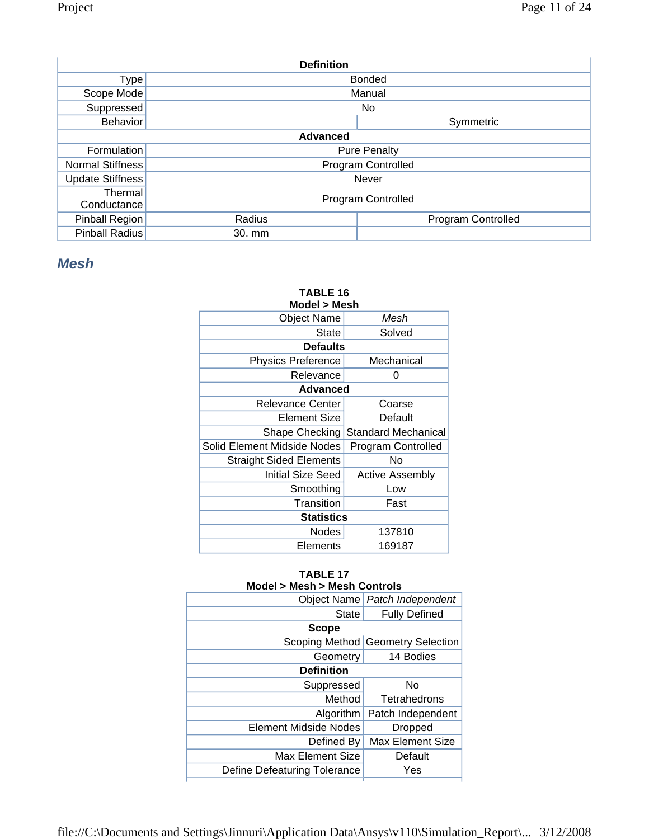| <b>Definition</b>      |                 |                     |  |  |  |
|------------------------|-----------------|---------------------|--|--|--|
| Type <sub> </sub>      |                 | <b>Bonded</b>       |  |  |  |
| Scope Mode             |                 | Manual              |  |  |  |
| Suppressed             |                 | No.                 |  |  |  |
| <b>Behavior</b>        |                 | Symmetric           |  |  |  |
|                        | <b>Advanced</b> |                     |  |  |  |
| Formulation            |                 | <b>Pure Penalty</b> |  |  |  |
| Normal Stiffness       |                 | Program Controlled  |  |  |  |
| Update Stiffness       |                 | <b>Never</b>        |  |  |  |
| Thermal<br>Conductance |                 | Program Controlled  |  |  |  |
| Pinball Region         | Radius          | Program Controlled  |  |  |  |
| <b>Pinball Radius</b>  | 30. mm          |                     |  |  |  |

## *Mesh*

## **TABLE 16**

| Model > Mesh                |                     |  |  |  |
|-----------------------------|---------------------|--|--|--|
| Object Name                 | Mesh                |  |  |  |
| <b>State</b>                | Solved              |  |  |  |
| <b>Defaults</b>             |                     |  |  |  |
| <b>Physics Preference</b>   | Mechanical          |  |  |  |
| Relevance                   | O                   |  |  |  |
| Advanced                    |                     |  |  |  |
| <b>Relevance Center</b>     | Coarse              |  |  |  |
| Element Size                | Default             |  |  |  |
| Shape Checking              | Standard Mechanical |  |  |  |
| Solid Element Midside Nodes | Program Controlled  |  |  |  |
| Straight Sided Elements     | No                  |  |  |  |
| Initial Size Seed           | Active Assembly     |  |  |  |
| Smoothing                   | Low                 |  |  |  |
| Transition                  | Fast                |  |  |  |
| <b>Statistics</b>           |                     |  |  |  |
| <b>Nodes</b>                | 137810              |  |  |  |
| Elements                    | 169187              |  |  |  |
|                             |                     |  |  |  |

#### **TABLE 17 Model > Mesh > Mesh Controls**

|                              | Object Name Patch Independent     |
|------------------------------|-----------------------------------|
| <b>State</b>                 | <b>Fully Defined</b>              |
| <b>Scope</b>                 |                                   |
|                              | Scoping Method Geometry Selection |
| Geometry                     | 14 Bodies                         |
| <b>Definition</b>            |                                   |
| Suppressed                   | No                                |
| Method                       | Tetrahedrons                      |
| Algorithm                    | Patch Independent                 |
| Element Midside Nodes        | Dropped                           |
| Defined By                   | <b>Max Element Size</b>           |
| Max Element Size             | Default                           |
| Define Defeaturing Tolerance | Yes                               |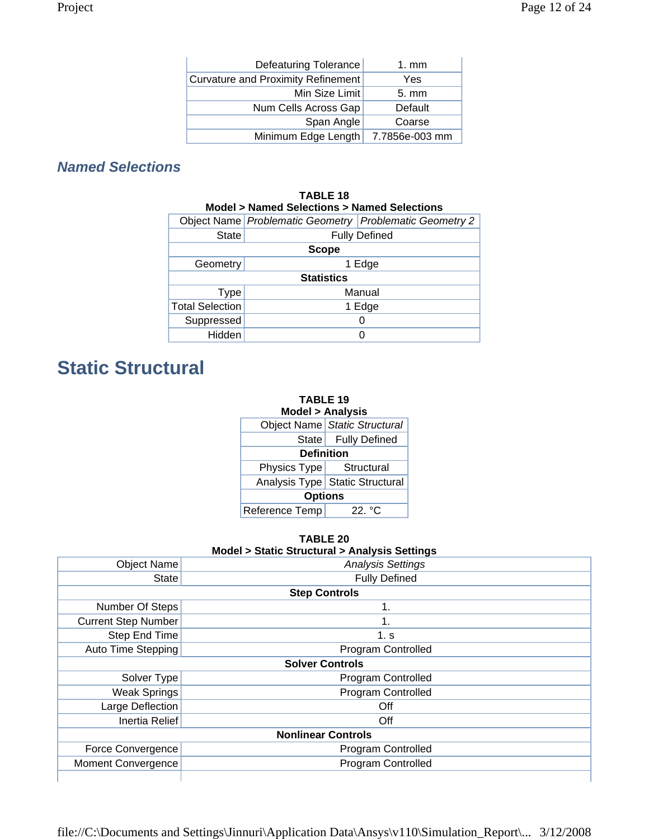| Defeaturing Tolerance                     | 1. mm          |
|-------------------------------------------|----------------|
| <b>Curvature and Proximity Refinement</b> | Yes            |
| Min Size Limit                            | $5. \text{mm}$ |
| Num Cells Across Gap                      | Default        |
| Span Angle                                | Coarse         |
| Minimum Edge Length                       | 7.7856e-003 mm |

## *Named Selections*

| <b>TABLE 18</b><br>Model > Named Selections > Named Selections |                   |                                                         |  |  |  |
|----------------------------------------------------------------|-------------------|---------------------------------------------------------|--|--|--|
|                                                                |                   | Object Name Problematic Geometry Problematic Geometry 2 |  |  |  |
| <b>State</b>                                                   |                   | <b>Fully Defined</b>                                    |  |  |  |
|                                                                | <b>Scope</b>      |                                                         |  |  |  |
| Geometry                                                       | 1 Edge            |                                                         |  |  |  |
|                                                                | <b>Statistics</b> |                                                         |  |  |  |
| <b>Type</b>                                                    | Manual            |                                                         |  |  |  |
| <b>Total Selection</b>                                         | 1 Edge            |                                                         |  |  |  |
| Suppressed                                                     |                   |                                                         |  |  |  |
| Hidden                                                         |                   |                                                         |  |  |  |

## **Static Structural**

| <b>TABLE 19</b><br><b>Model &gt; Analysis</b> |                                   |  |  |  |
|-----------------------------------------------|-----------------------------------|--|--|--|
|                                               | Object Name Static Structural     |  |  |  |
|                                               | State   Fully Defined             |  |  |  |
| <b>Definition</b>                             |                                   |  |  |  |
| Physics Type Structural                       |                                   |  |  |  |
|                                               | Analysis Type   Static Structural |  |  |  |
| <b>Options</b>                                |                                   |  |  |  |
| Reference Temp<br>22 °C                       |                                   |  |  |  |

**TABLE 20 Model > Static Structural > Analysis Settings** 

|                            | $m$ $\alpha$ $\epsilon$ $\epsilon$ $>$ $\alpha$ $\alpha$ $\alpha$ $\epsilon$ $\alpha$ $\alpha$ $\alpha$ $\alpha$ $\alpha$ $\alpha$ $\alpha$ $\beta$ $\alpha$ $\alpha$ $\alpha$ $\gamma$ $\beta$ $\alpha$ |  |  |  |  |
|----------------------------|----------------------------------------------------------------------------------------------------------------------------------------------------------------------------------------------------------|--|--|--|--|
| <b>Object Name</b>         | <b>Analysis Settings</b>                                                                                                                                                                                 |  |  |  |  |
| <b>State</b>               | <b>Fully Defined</b>                                                                                                                                                                                     |  |  |  |  |
|                            | <b>Step Controls</b>                                                                                                                                                                                     |  |  |  |  |
| Number Of Steps            | 1.                                                                                                                                                                                                       |  |  |  |  |
| <b>Current Step Number</b> | 1.                                                                                                                                                                                                       |  |  |  |  |
| Step End Time              | 1. s                                                                                                                                                                                                     |  |  |  |  |
| Auto Time Stepping         | <b>Program Controlled</b>                                                                                                                                                                                |  |  |  |  |
|                            | <b>Solver Controls</b>                                                                                                                                                                                   |  |  |  |  |
| Solver Type                | <b>Program Controlled</b>                                                                                                                                                                                |  |  |  |  |
| <b>Weak Springs</b>        | <b>Program Controlled</b>                                                                                                                                                                                |  |  |  |  |
| Large Deflection           | Off                                                                                                                                                                                                      |  |  |  |  |
| Inertia Relief             | Off                                                                                                                                                                                                      |  |  |  |  |
|                            | <b>Nonlinear Controls</b>                                                                                                                                                                                |  |  |  |  |
| Force Convergence          | Program Controlled                                                                                                                                                                                       |  |  |  |  |
| <b>Moment Convergence</b>  | Program Controlled                                                                                                                                                                                       |  |  |  |  |
|                            |                                                                                                                                                                                                          |  |  |  |  |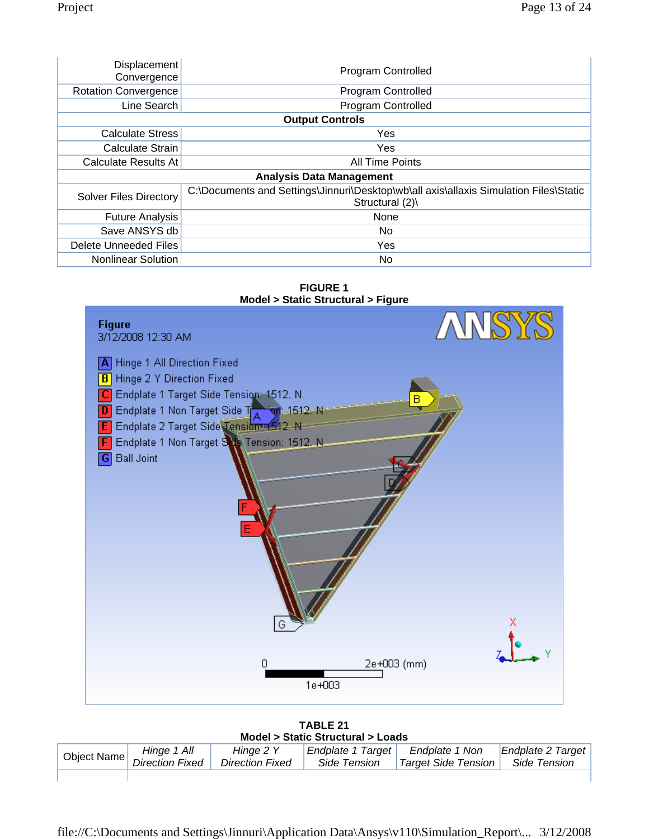| <b>Displacement</b><br>Convergence | Program Controlled                                                                                        |  |
|------------------------------------|-----------------------------------------------------------------------------------------------------------|--|
| <b>Rotation Convergence</b>        | Program Controlled                                                                                        |  |
| Line Search                        | Program Controlled                                                                                        |  |
|                                    | <b>Output Controls</b>                                                                                    |  |
| <b>Calculate Stress</b>            | Yes                                                                                                       |  |
| Calculate Strain                   | Yes                                                                                                       |  |
| Calculate Results At               | <b>All Time Points</b>                                                                                    |  |
|                                    | <b>Analysis Data Management</b>                                                                           |  |
| <b>Solver Files Directory</b>      | C:\Documents and Settings\Jinnuri\Desktop\wb\all axis\allaxis Simulation Files\Static<br>Structural $(2)$ |  |
| <b>Future Analysis</b>             | None                                                                                                      |  |
| Save ANSYS db                      | No.                                                                                                       |  |
| Delete Unneeded Files              | Yes                                                                                                       |  |
| Nonlinear Solution                 | No.                                                                                                       |  |





**TABLE 21 Model > Static Structural > Loads** 

|             | $1119991$ $\epsilon$ . Oranged the second the couple |                                     |                                          |                                         |                                   |  |
|-------------|------------------------------------------------------|-------------------------------------|------------------------------------------|-----------------------------------------|-----------------------------------|--|
| Object Name | Hinge 1 All<br><b>Direction Fixed</b>                | Hinge 2 Y<br><b>Direction Fixed</b> | <b>Endplate 1 Target</b><br>Side Tension | Endplate 1 Non<br>  Target Side Tension | Endplate 2 Target<br>Side Tension |  |
|             |                                                      |                                     |                                          |                                         |                                   |  |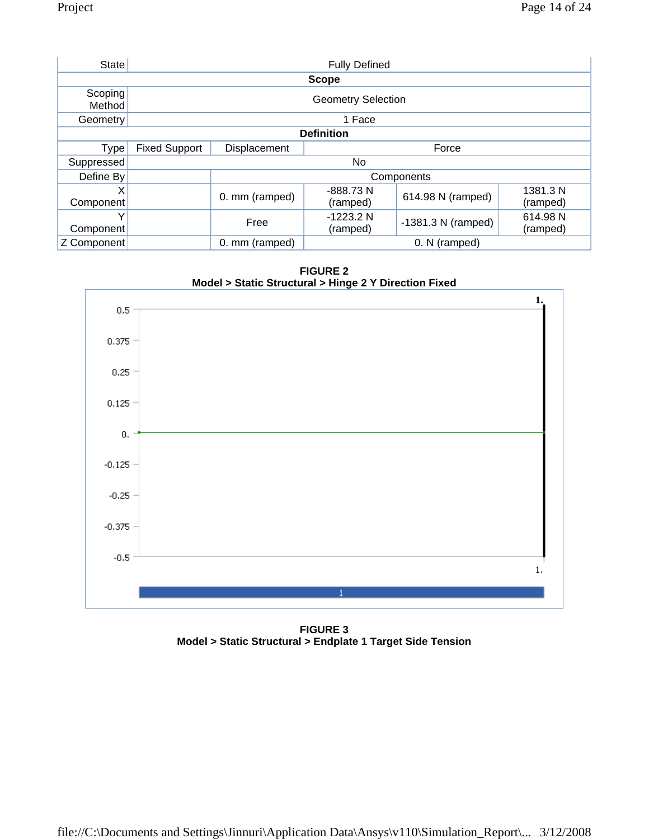| <b>State</b>      | <b>Fully Defined</b> |                           |                        |                      |                      |
|-------------------|----------------------|---------------------------|------------------------|----------------------|----------------------|
|                   |                      |                           | <b>Scope</b>           |                      |                      |
| Scoping<br>Method |                      | <b>Geometry Selection</b> |                        |                      |                      |
| Geometry          |                      |                           | 1 Face                 |                      |                      |
|                   |                      |                           | <b>Definition</b>      |                      |                      |
| <b>Type</b>       | <b>Fixed Support</b> | Displacement              |                        | Force                |                      |
| Suppressed        | No.                  |                           |                        |                      |                      |
| Define By         |                      | Components                |                        |                      |                      |
| X<br>Component    |                      | 0. mm (ramped)            | -888.73 N<br>(ramped)  | 614.98 N (ramped)    | 1381.3 N<br>(ramped) |
| v<br>Component    |                      | Free                      | $-1223.2N$<br>(ramped) | $-1381.3$ N (ramped) | 614.98 N<br>(ramped) |
| Z Component       |                      | 0. mm (ramped)            |                        | 0. N (ramped)        |                      |

**FIGURE 2 Model > Static Structural > Hinge 2 Y Direction Fixed** 



**FIGURE 3 Model > Static Structural > Endplate 1 Target Side Tension**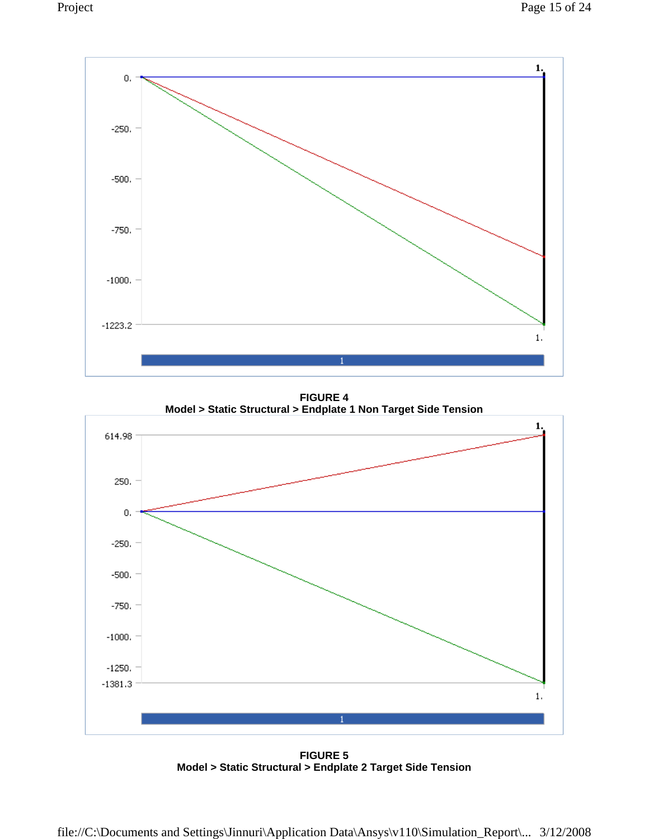

**FIGURE 4 Model > Static Structural > Endplate 1 Non Target Side Tension** 



**FIGURE 5 Model > Static Structural > Endplate 2 Target Side Tension**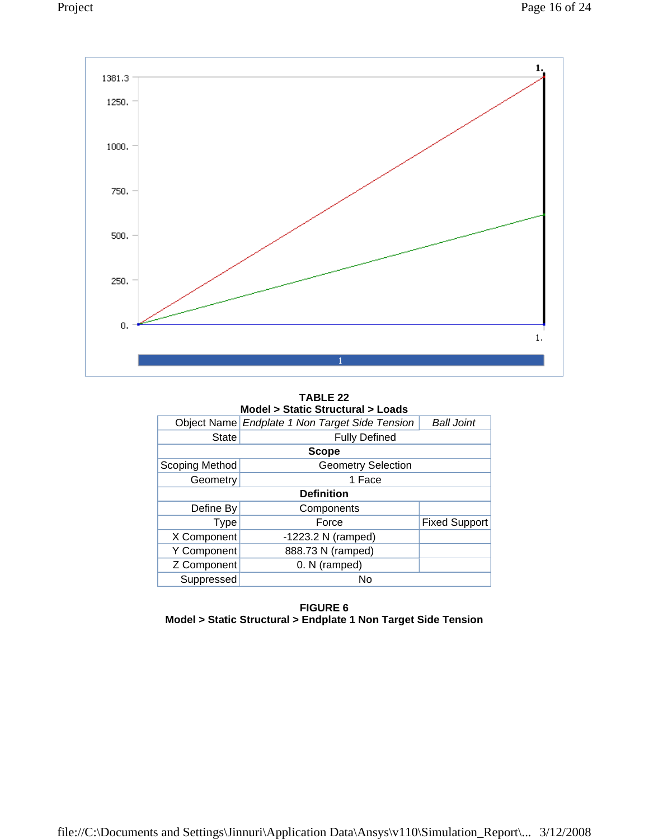

**TABLE 22 Model > Static Structural > Loads** 

|                   | Object Name Endplate 1 Non Target Side Tension | <b>Ball Joint</b>    |  |  |  |
|-------------------|------------------------------------------------|----------------------|--|--|--|
| <b>State</b>      |                                                |                      |  |  |  |
|                   | <b>Scope</b>                                   |                      |  |  |  |
| Scoping Method    | <b>Geometry Selection</b>                      |                      |  |  |  |
| Geometry          | 1 Face                                         |                      |  |  |  |
| <b>Definition</b> |                                                |                      |  |  |  |
| Define By         | Components                                     |                      |  |  |  |
| <b>Type</b>       | Force                                          | <b>Fixed Support</b> |  |  |  |
| X Component       | $-1223.2$ N (ramped)                           |                      |  |  |  |
| Y Component       | 888.73 N (ramped)                              |                      |  |  |  |
| Z Component       | 0. N (ramped)                                  |                      |  |  |  |
| Suppressed        | No                                             |                      |  |  |  |

**FIGURE 6 Model > Static Structural > Endplate 1 Non Target Side Tension**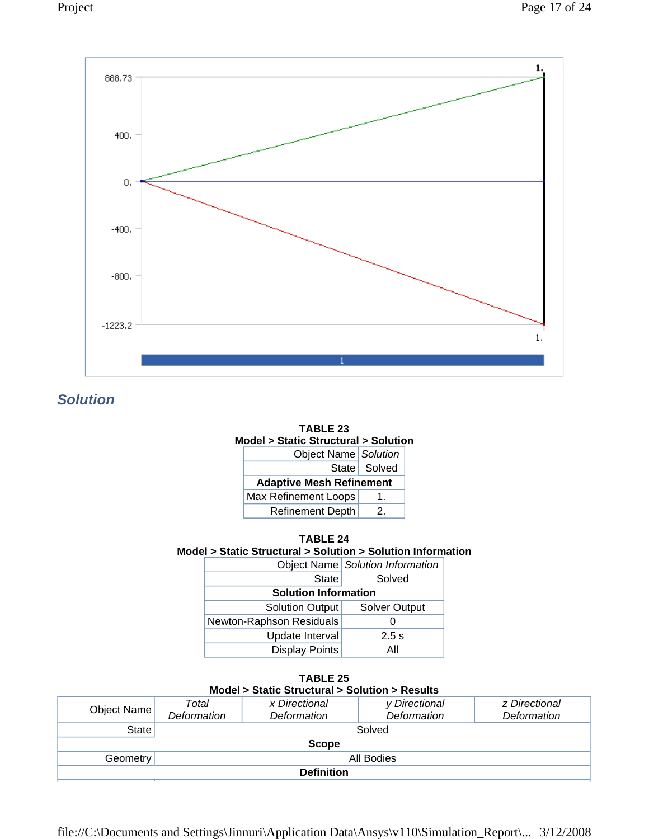



*Solution* 



| <b>TABLE 24</b>                                              |  |
|--------------------------------------------------------------|--|
| Model > Static Structural > Solution > Solution Information_ |  |

|                             | Object Name   Solution Information |
|-----------------------------|------------------------------------|
| State                       | Solved                             |
| <b>Solution Information</b> |                                    |
| Solution Output             | <b>Solver Output</b>               |
| Newton-Raphson Residuals    |                                    |
| Update Interval             | $2.5$ s                            |
| <b>Display Points</b>       | Αll                                |

| <b>TABLE 25</b>                                |
|------------------------------------------------|
| Model > Static Structural > Solution > Results |

| Object Name            | Total<br><b>Deformation</b> | x Directional<br>Deformation | y Directional<br><b>Deformation</b> | z Directional<br>Deformation |
|------------------------|-----------------------------|------------------------------|-------------------------------------|------------------------------|
| State                  |                             |                              | Solved                              |                              |
| <b>Scope</b>           |                             |                              |                                     |                              |
| All Bodies<br>Geometry |                             |                              |                                     |                              |
| <b>Definition</b>      |                             |                              |                                     |                              |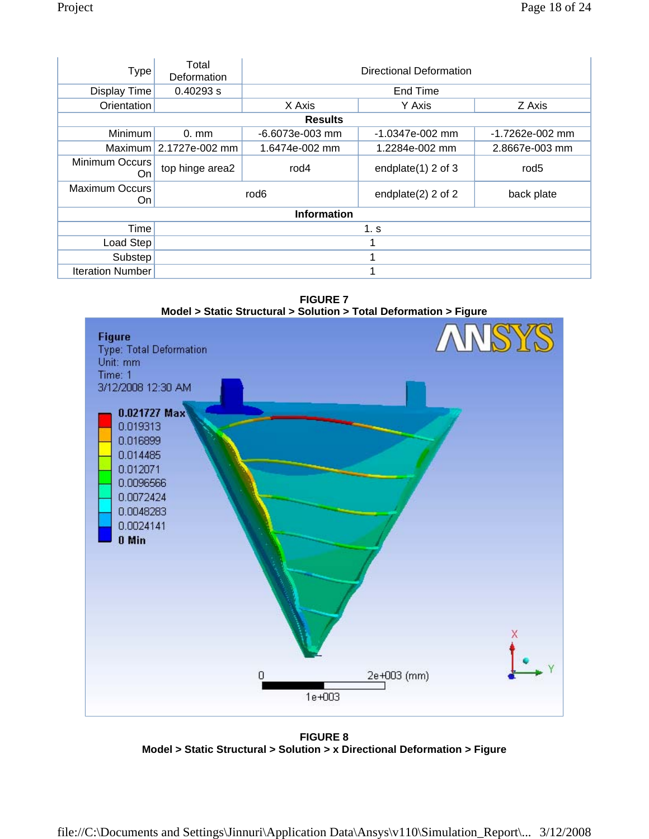| Type                        | Total<br>Deformation | Directional Deformation                                 |                       |                   |
|-----------------------------|----------------------|---------------------------------------------------------|-----------------------|-------------------|
| Display Time                | 0.40293 s            |                                                         | End Time              |                   |
| Orientation                 |                      | X Axis                                                  | Y Axis                | Z Axis            |
|                             |                      | <b>Results</b>                                          |                       |                   |
| <b>Minimum</b>              | $0. \text{mm}$       | $-6.6073e-003$ mm                                       | -1.0347e-002 mm       | $-1.7262e-002$ mm |
| Maximum                     | 2.1727e-002 mm       | 1.6474e-002 mm                                          | 1.2284e-002 mm        | 2.8667e-003 mm    |
| Minimum Occurs<br>On        | top hinge area2      | rod4                                                    | endplate $(1)$ 2 of 3 | rod <sub>5</sub>  |
| <b>Maximum Occurs</b><br>On |                      | rod <sub>6</sub><br>endplate $(2)$ 2 of 2<br>back plate |                       |                   |
| <b>Information</b>          |                      |                                                         |                       |                   |
| Time                        | 1. s                 |                                                         |                       |                   |
| Load Step                   |                      |                                                         |                       |                   |
| Substep                     |                      | 1                                                       |                       |                   |
| <b>Iteration Number</b>     |                      | 1                                                       |                       |                   |

**FIGURE 7 Model > Static Structural > Solution > Total Deformation > Figure** 



**FIGURE 8 Model > Static Structural > Solution > x Directional Deformation > Figure**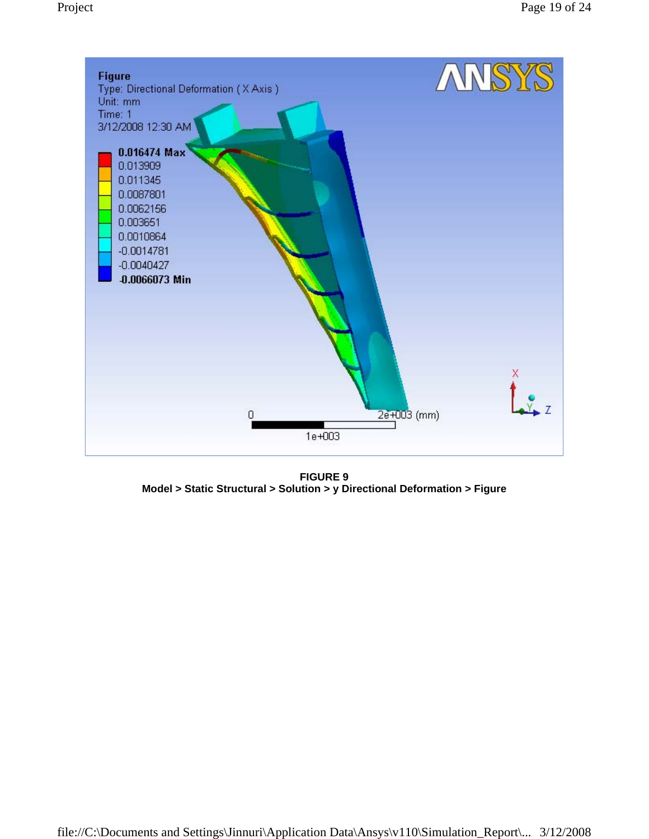

**FIGURE 9 Model > Static Structural > Solution > y Directional Deformation > Figure**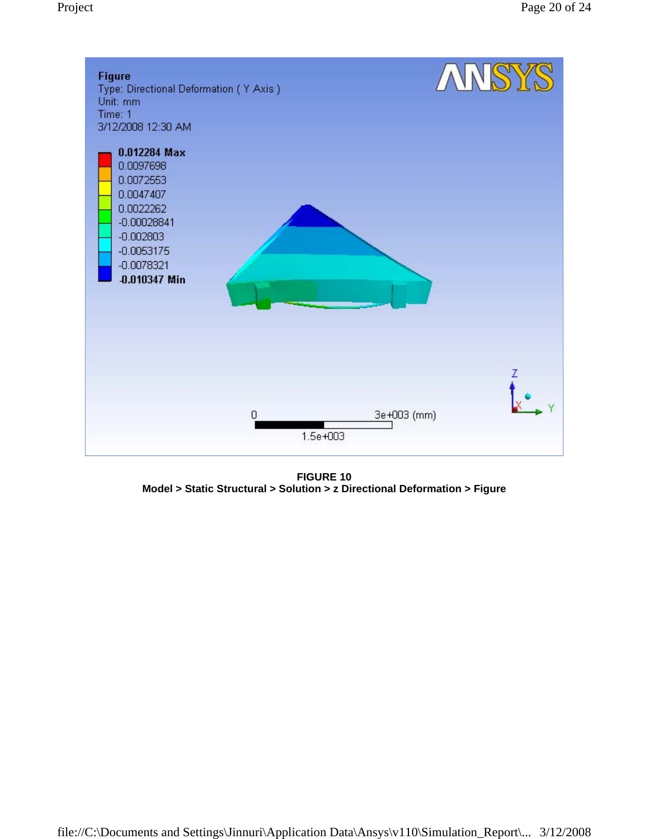

**FIGURE 10 Model > Static Structural > Solution > z Directional Deformation > Figure**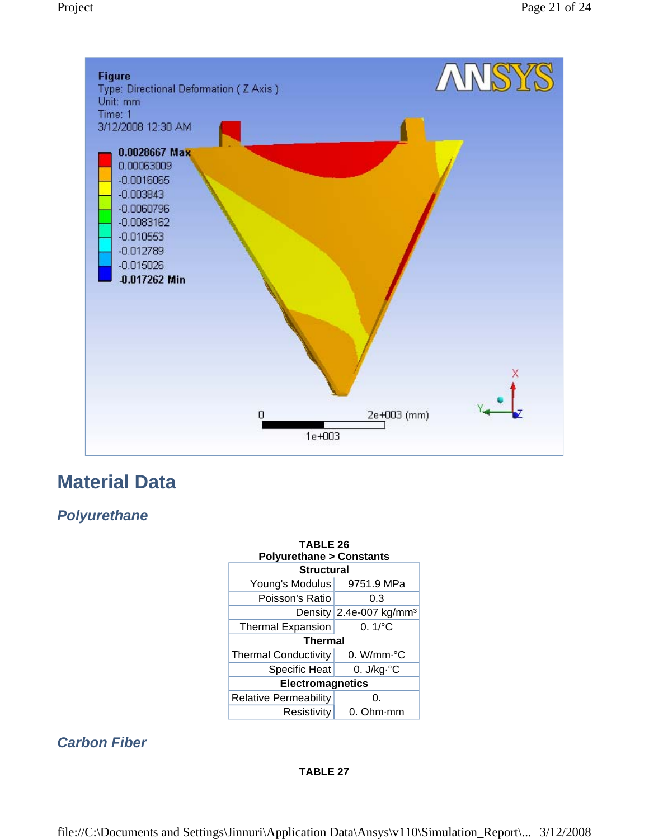

## **Material Data**

## *Polyurethane*

| <b>TABLE 26</b><br><b>Polyurethane &gt; Constants</b> |                                       |  |  |
|-------------------------------------------------------|---------------------------------------|--|--|
| <b>Structural</b>                                     |                                       |  |  |
| Young's Modulus                                       | 9751.9 MPa                            |  |  |
| Poisson's Ratio                                       | 0.3                                   |  |  |
|                                                       | Density $2.4e-007$ kg/mm <sup>3</sup> |  |  |
| <b>Thermal Expansion</b>                              | $0.1\degree$ C                        |  |  |
| <b>Thermal</b>                                        |                                       |  |  |
| <b>Thermal Conductivity</b>                           | $0.$ W/mm $\cdot$ °C                  |  |  |
| <b>Specific Heat</b>                                  | 0. $J/kg \,^{\circ}C$                 |  |  |
| Electromagnetics                                      |                                       |  |  |
| <b>Relative Permeability</b>                          | 0.                                    |  |  |
| Resistivity                                           | 0. Ohm·mm                             |  |  |

## *Carbon Fiber*

#### **TABLE 27**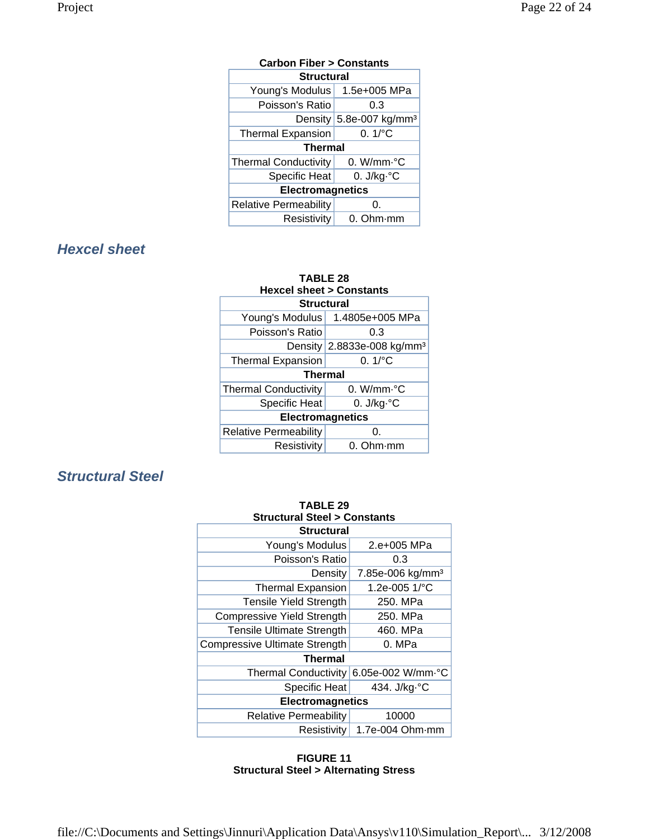| <b>Carbon Fiber &gt; Constants</b> |                                     |  |
|------------------------------------|-------------------------------------|--|
| <b>Structural</b>                  |                                     |  |
| Young's Modulus                    | 1.5e+005 MPa                        |  |
| Poisson's Ratio                    | 0.3                                 |  |
|                                    | Density 5.8e-007 kg/mm <sup>3</sup> |  |
| <b>Thermal Expansion</b>           | $0.1$ <sup>o</sup> C                |  |
| <b>Thermal</b>                     |                                     |  |
| <b>Thermal Conductivity</b>        | $0.$ W/mm $\cdot$ °C                |  |
| Specific Heat                      | 0. $J/kg \,^{\circ}C$               |  |
| <b>Electromagnetics</b>            |                                     |  |
| <b>Relative Permeability</b>       | 0.                                  |  |
| Resistivity                        | $0.$ Ohm $\cdot$ mm                 |  |

## *Hexcel sheet*

| <b>TABLE 28</b><br><b>Hexcel sheet &gt; Constants</b> |                                        |  |  |
|-------------------------------------------------------|----------------------------------------|--|--|
| <b>Structural</b>                                     |                                        |  |  |
|                                                       | Young's Modulus   1.4805e+005 MPa      |  |  |
| Poisson's Ratio                                       | 0.3                                    |  |  |
|                                                       | Density 2.8833e-008 kg/mm <sup>3</sup> |  |  |
| <b>Thermal Expansion</b>                              | $0.1$ <sup>o</sup> C                   |  |  |
| <b>Thermal</b>                                        |                                        |  |  |
| <b>Thermal Conductivity</b>                           | 0. W/mm.°C                             |  |  |
| <b>Specific Heat</b>                                  | 0. $J/kg·°C$                           |  |  |
| <b>Electromagnetics</b>                               |                                        |  |  |
| <b>Relative Permeability</b>                          | 0.                                     |  |  |
| Resistivity                                           | 0. Ohm mm                              |  |  |

## *Structural Steel*

| <b>TABLE 29</b>                        |                              |  |  |
|----------------------------------------|------------------------------|--|--|
| <b>Structural Steel &gt; Constants</b> |                              |  |  |
| <b>Structural</b>                      |                              |  |  |
| Young's Modulus                        | 2.e+005 MPa                  |  |  |
| Poisson's Ratio                        | 0.3                          |  |  |
| Density                                | 7.85e-006 kg/mm <sup>3</sup> |  |  |
| <b>Thermal Expansion</b>               | 1.2e-005 1/°C                |  |  |
| <b>Tensile Yield Strength</b>          | 250. MPa                     |  |  |
| <b>Compressive Yield Strength</b>      | 250. MPa                     |  |  |
| <b>Tensile Ultimate Strength</b>       | 460. MPa                     |  |  |
| <b>Compressive Ultimate Strength</b>   | 0. MPa                       |  |  |
| Thermal                                |                              |  |  |
| <b>Thermal Conductivity</b>            | 6.05e-002 W/mm.°C            |  |  |
| Specific Heat                          | 434. J/kg. °C                |  |  |
| <b>Electromagnetics</b>                |                              |  |  |
| <b>Relative Permeability</b>           | 10000                        |  |  |
| Resistivity                            | $1.7e-004$ Ohm $\cdot$ mm    |  |  |

#### **FIGURE 11 Structural Steel > Alternating Stress**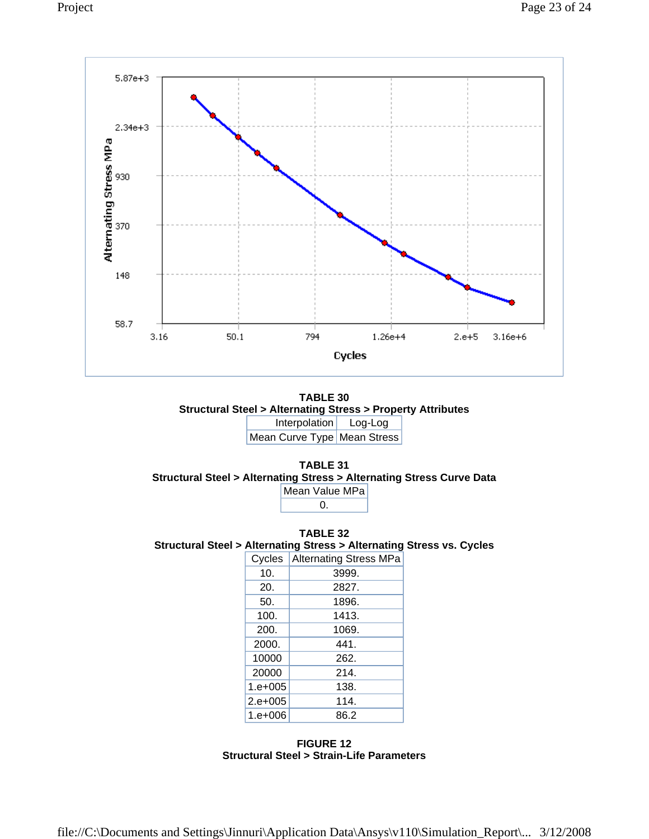





**TABLE 32 Structural Steel > Alternating Stress > Alternating Stress vs. Cycles** 

| Cycles       | <b>Alternating Stress MPa</b> |
|--------------|-------------------------------|
| 10.          | 3999.                         |
| 20.          | 2827.                         |
| 50.          | 1896.                         |
| 100.         | 1413.                         |
| 200.         | 1069.                         |
| 2000.        | 441.                          |
| 10000        | 262.                          |
| 20000        | 214.                          |
| $1. e + 005$ | 138.                          |
| $2.e+005$    | 114.                          |
| $1. e + 006$ | 86.2                          |

**FIGURE 12 Structural Steel > Strain-Life Parameters**